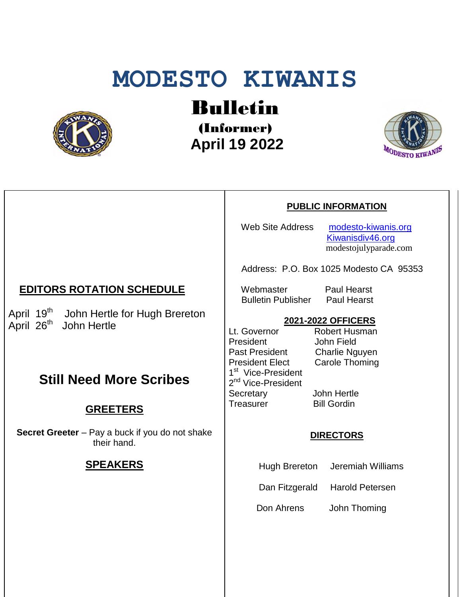# **MODESTO KIWANIS**



Bulletin

(Informer)  **April 19 2022**



#### **PUBLIC INFORMATION**

Web Site Address [modesto-kiwanis.org](http://modesto-kiwanis.org/) [Kiwanisdiv46.org](http://www.kiwanisdiv46.org/) modestojulyparade.com

Address: P.O. Box 1025 Modesto CA 95353

Webmaster Paul Hearst Bulletin Publisher Paul Hearst

### **2021-2022 OFFICERS**

Lt. Governor Robert Husman President John Field Past President Charlie Nguyen President Elect Carole Thoming 1<sup>st</sup> Vice-President 2<sup>nd</sup> Vice-President Secretary John Hertle Treasurer Bill Gordin

#### **DIRECTORS**

Hugh Brereton Jeremiah Williams

Dan Fitzgerald Harold Petersen

Don Ahrens John Thoming

## **EDITORS ROTATION SCHEDULE**

April 19<sup>th</sup> John Hertle for Hugh Brereton April 26<sup>th</sup> John Hertle

# **Still Need More Scribes**

## **GREETERS**

**Secret Greeter** – Pay a buck if you do not shake their hand.

#### **SPEAKERS**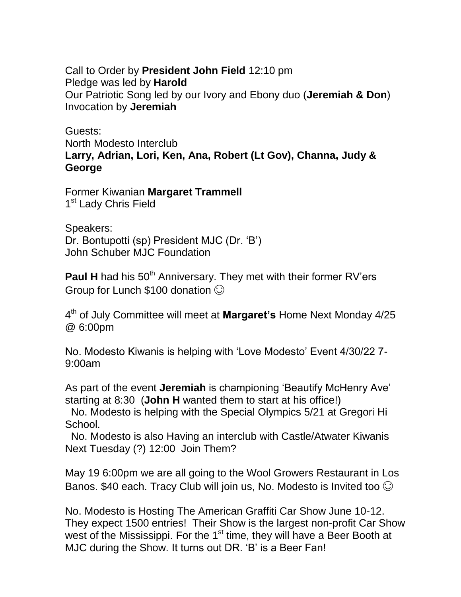Call to Order by **President John Field** 12:10 pm Pledge was led by **Harold** Our Patriotic Song led by our Ivory and Ebony duo (**Jeremiah & Don**) Invocation by **Jeremiah**

Guests: North Modesto Interclub **Larry, Adrian, Lori, Ken, Ana, Robert (Lt Gov), Channa, Judy & George**

Former Kiwanian **Margaret Trammell** 1<sup>st</sup> Lady Chris Field

Speakers: Dr. Bontupotti (sp) President MJC (Dr. 'B') John Schuber MJC Foundation

**Paul H** had his 50<sup>th</sup> Anniversary. They met with their former RV'ers Group for Lunch \$100 donation

4 th of July Committee will meet at **Margaret's** Home Next Monday 4/25 @ 6:00pm

No. Modesto Kiwanis is helping with 'Love Modesto' Event 4/30/22 7- 9:00am

As part of the event **Jeremiah** is championing 'Beautify McHenry Ave' starting at 8:30 (**John H** wanted them to start at his office!)

 No. Modesto is helping with the Special Olympics 5/21 at Gregori Hi School.

 No. Modesto is also Having an interclub with Castle/Atwater Kiwanis Next Tuesday (?) 12:00 Join Them?

May 19 6:00pm we are all going to the Wool Growers Restaurant in Los Banos. \$40 each. Tracy Club will join us, No. Modesto is Invited too  $\odot$ 

No. Modesto is Hosting The American Graffiti Car Show June 10-12. They expect 1500 entries! Their Show is the largest non-profit Car Show west of the Mississippi. For the  $1<sup>st</sup>$  time, they will have a Beer Booth at MJC during the Show. It turns out DR. 'B' is a Beer Fan!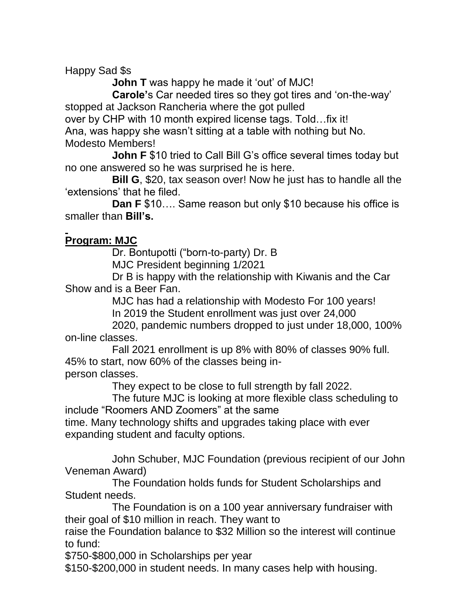Happy Sad \$s

**John T** was happy he made it 'out' of MJC!

 **Carole'**s Car needed tires so they got tires and 'on-the-way' stopped at Jackson Rancheria where the got pulled

over by CHP with 10 month expired license tags. Told…fix it! Ana, was happy she wasn't sitting at a table with nothing but No.

Modesto Members!

 **John F** \$10 tried to Call Bill G's office several times today but no one answered so he was surprised he is here.

 **Bill G**, \$20, tax season over! Now he just has to handle all the 'extensions' that he filed.

 **Dan F** \$10…. Same reason but only \$10 because his office is smaller than **Bill's.**

## **Program: MJC**

Dr. Bontupotti ("born-to-party) Dr. B

MJC President beginning 1/2021

 Dr B is happy with the relationship with Kiwanis and the Car Show and is a Beer Fan.

MJC has had a relationship with Modesto For 100 years!

In 2019 the Student enrollment was just over 24,000

 2020, pandemic numbers dropped to just under 18,000, 100% on-line classes.

 Fall 2021 enrollment is up 8% with 80% of classes 90% full. 45% to start, now 60% of the classes being inperson classes.

They expect to be close to full strength by fall 2022.

 The future MJC is looking at more flexible class scheduling to include "Roomers AND Zoomers" at the same

time. Many technology shifts and upgrades taking place with ever expanding student and faculty options.

 John Schuber, MJC Foundation (previous recipient of our John Veneman Award)

 The Foundation holds funds for Student Scholarships and Student needs.

 The Foundation is on a 100 year anniversary fundraiser with their goal of \$10 million in reach. They want to

raise the Foundation balance to \$32 Million so the interest will continue to fund:

\$750-\$800,000 in Scholarships per year

\$150-\$200,000 in student needs. In many cases help with housing.